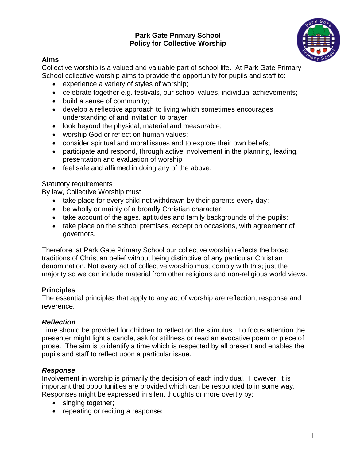### **Park Gate Primary School Policy for Collective Worship**



### **Aims**

Collective worship is a valued and valuable part of school life. At Park Gate Primary School collective worship aims to provide the opportunity for pupils and staff to:

- experience a variety of styles of worship;
- celebrate together e.g. festivals, our school values, individual achievements;
- build a sense of community;
- develop a reflective approach to living which sometimes encourages understanding of and invitation to prayer;
- look beyond the physical, material and measurable;
- worship God or reflect on human values;
- consider spiritual and moral issues and to explore their own beliefs;
- participate and respond, through active involvement in the planning, leading, presentation and evaluation of worship
- feel safe and affirmed in doing any of the above.

### Statutory requirements

By law, Collective Worship must

- take place for every child not withdrawn by their parents every day;
- be wholly or mainly of a broadly Christian character;
- take account of the ages, aptitudes and family backgrounds of the pupils;
- take place on the school premises, except on occasions, with agreement of governors.

Therefore, at Park Gate Primary School our collective worship reflects the broad traditions of Christian belief without being distinctive of any particular Christian denomination. Not every act of collective worship must comply with this; just the majority so we can include material from other religions and non-religious world views.

## **Principles**

The essential principles that apply to any act of worship are reflection, response and reverence.

# *Reflection*

Time should be provided for children to reflect on the stimulus. To focus attention the presenter might light a candle, ask for stillness or read an evocative poem or piece of prose. The aim is to identify a time which is respected by all present and enables the pupils and staff to reflect upon a particular issue.

# *Response*

Involvement in worship is primarily the decision of each individual. However, it is important that opportunities are provided which can be responded to in some way. Responses might be expressed in silent thoughts or more overtly by:

- singing together;
- repeating or reciting a response;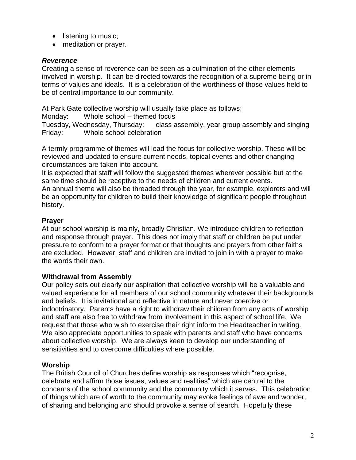- listening to music;
- meditation or prayer.

### *Reverence*

Creating a sense of reverence can be seen as a culmination of the other elements involved in worship. It can be directed towards the recognition of a supreme being or in terms of values and ideals. It is a celebration of the worthiness of those values held to be of central importance to our community.

At Park Gate collective worship will usually take place as follows;

Monday: Whole school – themed focus

Tuesday, Wednesday, Thursday: class assembly, year group assembly and singing Friday: Whole school celebration

A termly programme of themes will lead the focus for collective worship. These will be reviewed and updated to ensure current needs, topical events and other changing circumstances are taken into account.

It is expected that staff will follow the suggested themes wherever possible but at the same time should be receptive to the needs of children and current events.

An annual theme will also be threaded through the year, for example, explorers and will be an opportunity for children to build their knowledge of significant people throughout history.

### **Prayer**

At our school worship is mainly, broadly Christian. We introduce children to reflection and response through prayer. This does not imply that staff or children be put under pressure to conform to a prayer format or that thoughts and prayers from other faiths are excluded. However, staff and children are invited to join in with a prayer to make the words their own.

### **Withdrawal from Assembly**

Our policy sets out clearly our aspiration that collective worship will be a valuable and valued experience for all members of our school community whatever their backgrounds and beliefs. It is invitational and reflective in nature and never coercive or indoctrinatory. Parents have a right to withdraw their children from any acts of worship and staff are also free to withdraw from involvement in this aspect of school life. We request that those who wish to exercise their right inform the Headteacher in writing. We also appreciate opportunities to speak with parents and staff who have concerns about collective worship. We are always keen to develop our understanding of sensitivities and to overcome difficulties where possible.

#### **Worship**

The British Council of Churches define worship as responses which "recognise, celebrate and affirm those issues, values and realities" which are central to the concerns of the school community and the community which it serves. This celebration of things which are of worth to the community may evoke feelings of awe and wonder, of sharing and belonging and should provoke a sense of search. Hopefully these